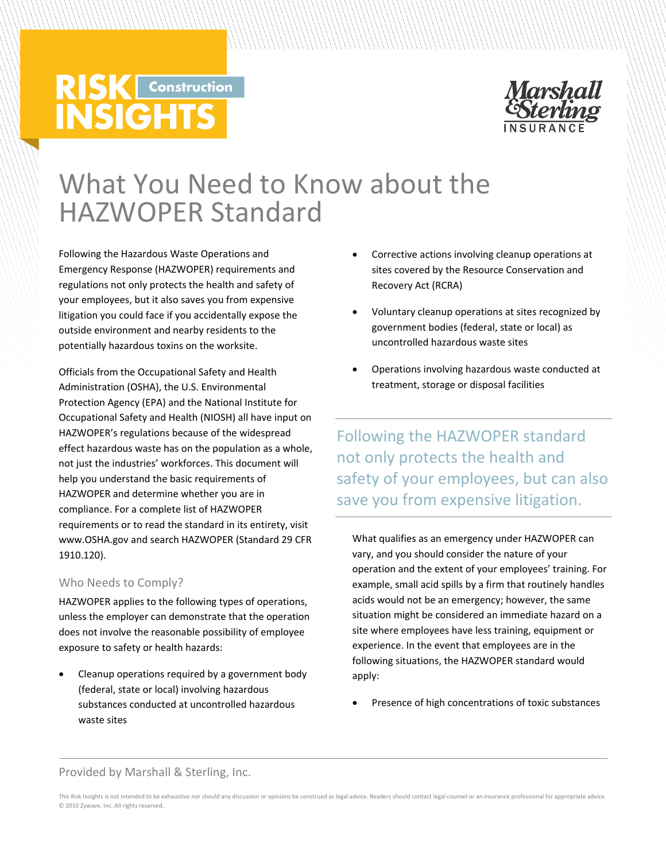# **RISK** Construction **INSIGHTS**



# What You Need to Know about the HAZWOPER Standard

Following the Hazardous Waste Operations and Emergency Response (HAZWOPER) requirements and regulations not only protects the health and safety of your employees, but it also saves you from expensive litigation you could face if you accidentally expose the outside environment and nearby residents to the potentially hazardous toxins on the worksite.

Officials from the Occupational Safety and Health Administration (OSHA), the U.S. Environmental Protection Agency (EPA) and the National Institute for Occupational Safety and Health (NIOSH) all have input on HAZWOPER's regulations because of the widespread effect hazardous waste has on the population as a whole, not just the industries' workforces. This document will help you understand the basic requirements of HAZWOPER and determine whether you are in compliance. For a complete list of HAZWOPER requirements or to read the standard in its entirety, visit www.OSHA.gov and search HAZWOPER (Standard 29 CFR 1910.120).

## Who Needs to Comply?

HAZWOPER applies to the following types of operations, unless the employer can demonstrate that the operation does not involve the reasonable possibility of employee exposure to safety or health hazards:

 Cleanup operations required by a government body (federal, state or local) involving hazardous substances conducted at uncontrolled hazardous waste sites

- Corrective actions involving cleanup operations at sites covered by the Resource Conservation and Recovery Act (RCRA)
- Voluntary cleanup operations at sites recognized by government bodies (federal, state or local) as uncontrolled hazardous waste sites
- Operations involving hazardous waste conducted at treatment, storage or disposal facilities

Following the HAZWOPER standard not only protects the health and safety of your employees, but can also save you from expensive litigation.

What qualifies as an emergency under HAZWOPER can vary, and you should consider the nature of your operation and the extent of your employees' training. For example, small acid spills by a firm that routinely handles acids would not be an emergency; however, the same situation might be considered an immediate hazard on a site where employees have less training, equipment or experience. In the event that employees are in the following situations, the HAZWOPER standard would apply:

Presence of high concentrations of toxic substances

#### Provided by Marshall & Sterling, Inc.

This Risk Insights is not intended to be exhaustive nor should any discussion or opinions be construed as legal advice. Readers should contact legal counsel or an insurance professional for appropriate advice. © 2010 Zywave, Inc. All rights reserved.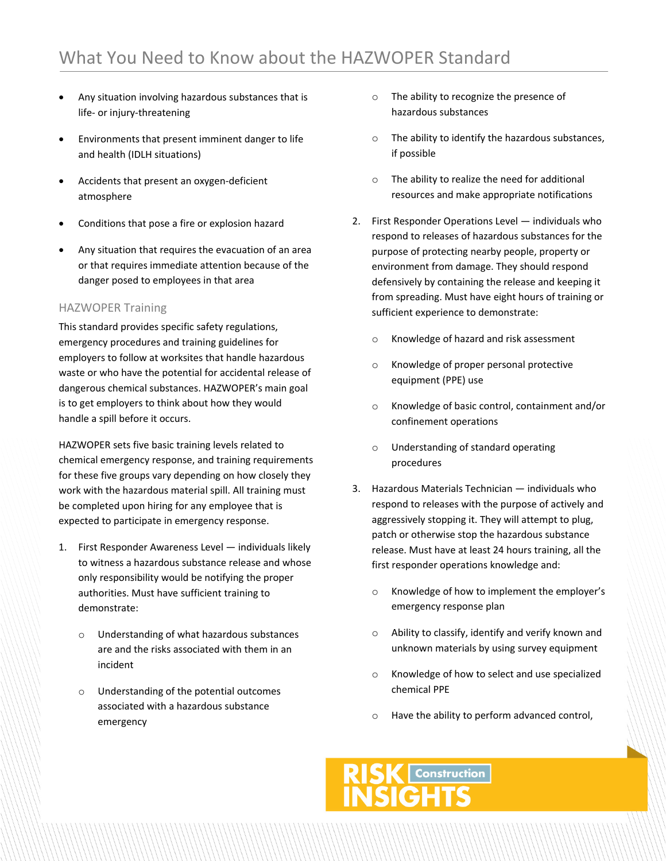- Any situation involving hazardous substances that is life‐ or injury‐threatening
- Environments that present imminent danger to life and health (IDLH situations)
- Accidents that present an oxygen‐deficient atmosphere
- Conditions that pose a fire or explosion hazard
- Any situation that requires the evacuation of an area or that requires immediate attention because of the danger posed to employees in that area

#### HAZWOPER Training

This standard provides specific safety regulations, emergency procedures and training guidelines for employers to follow at worksites that handle hazardous waste or who have the potential for accidental release of dangerous chemical substances. HAZWOPER's main goal is to get employers to think about how they would handle a spill before it occurs.

HAZWOPER sets five basic training levels related to chemical emergency response, and training requirements for these five groups vary depending on how closely they work with the hazardous material spill. All training must be completed upon hiring for any employee that is expected to participate in emergency response.

- 1. First Responder Awareness Level individuals likely to witness a hazardous substance release and whose only responsibility would be notifying the proper authorities. Must have sufficient training to demonstrate:
	- o Understanding of what hazardous substances are and the risks associated with them in an incident
	- o Understanding of the potential outcomes associated with a hazardous substance emergency
- o The ability to recognize the presence of hazardous substances
- o The ability to identify the hazardous substances, if possible
- o The ability to realize the need for additional resources and make appropriate notifications
- 2. First Responder Operations Level individuals who respond to releases of hazardous substances for the purpose of protecting nearby people, property or environment from damage. They should respond defensively by containing the release and keeping it from spreading. Must have eight hours of training or sufficient experience to demonstrate:
	- o Knowledge of hazard and risk assessment
	- o Knowledge of proper personal protective equipment (PPE) use
	- o Knowledge of basic control, containment and/or confinement operations
	- o Understanding of standard operating procedures
- 3. Hazardous Materials Technician individuals who respond to releases with the purpose of actively and aggressively stopping it. They will attempt to plug, patch or otherwise stop the hazardous substance release. Must have at least 24 hours training, all the first responder operations knowledge and:
	- o Knowledge of how to implement the employer's emergency response plan
	- o Ability to classify, identify and verify known and unknown materials by using survey equipment
	- o Knowledge of how to select and use specialized chemical PPE
	- o Have the ability to perform advanced control,